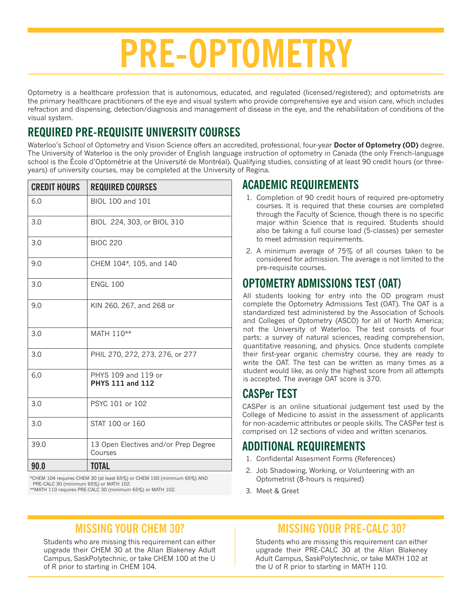# **PRE-OPTOMETRY**

Optometry is a healthcare profession that is autonomous, educated, and regulated (licensed/registered); and optometrists are the primary healthcare practitioners of the eye and visual system who provide comprehensive eye and vision care, which includes refraction and dispensing, detection/diagnosis and management of disease in the eye, and the rehabilitation of conditions of the visual system.

# **REQUIRED PRE-REQUISITE UNIVERSITY COURSES**

Waterloo's School of Optometry and Vision Science offers an accredited, professional, four-year **Doctor of Optometry (OD)** degree. The University of Waterloo is the only provider of English language instruction of optometry in Canada (the only French-language school is the École d'Optométrie at the Université de Montréal). Qualifying studies, consisting of at least 90 credit hours (or threeyears) of university courses, may be completed at the University of Regina.

| <b>CREDIT HOURS</b> | <b>REQUIRED COURSES</b>                         |
|---------------------|-------------------------------------------------|
| 6.0                 | BIOL 100 and 101                                |
| 3.0                 | BIOL 224, 303, or BIOL 310                      |
| 3.0                 | <b>BIOC 220</b>                                 |
| 9.0                 | CHEM 104*, 105, and 140                         |
| 3.0                 | <b>ENGL 100</b>                                 |
| 9.0                 | KIN 260, 267, and 268 or                        |
| 3.0                 | MATH 110**                                      |
| 3.0                 | PHIL 270, 272, 273, 276, or 277                 |
| 6.0                 | PHYS 109 and 119 or<br><b>PHYS 111 and 112</b>  |
| 3.0                 | PSYC 101 or 102                                 |
| 3.0                 | STAT 100 or 160                                 |
| 39.0                | 13 Open Electives and/or Prep Degree<br>Courses |
| 90.0                | <b>TOTAL</b>                                    |

\*CHEM 104 requires CHEM 30 (at least 65%) or CHEM 100 (minimum 65%) AND PRE-CALC 30 (minimum 65%) or MATH 102.

\*\*MATH 110 requires PRE-CALC 30 (minimum 65%) or MATH 102.

#### **ACADEMIC REQUIREMENTS**

- 1. Completion of 90 credit hours of required pre-optometry courses. It is required that these courses are completed through the Faculty of Science, though there is no specific major within Science that is required. Students should also be taking a full course load (5-classes) per semester to meet admission requirements.
- 2. A minimum average of 75% of all courses taken to be considered for admission. The average is not limited to the pre-requisite courses.

# **OPTOMETRY ADMISSIONS TEST (OAT)**

All students looking for entry into the OD program must complete the Optometry Admissions Test (OAT). The OAT is a standardized test administered by the Association of Schools and Colleges of Optometry (ASCO) for all of North America; not the University of Waterloo. The test consists of four parts: a survey of natural sciences, reading comprehension, quantitative reasoning, and physics. Once students complete their first-year organic chemistry course, they are ready to write the OAT. The test can be written as many times as a student would like, as only the highest score from all attempts is accepted. The average OAT score is 370.

## **CASPer TEST**

CASPer is an online situational judgement test used by the College of Medicine to assist in the assessment of applicants for non-academic attributes or people skills. The CASPer test is comprised on 12 sections of video and written scenarios.

## **ADDITIONAL REQUIREMENTS**

- 1. Confidental Assesment Forms (References)
- 2. Job Shadowing, Working, or Volunteering with an Optometrist (8-hours is required)
- 3. Meet & Greet

# **MISSING YOUR CHEM 30?**

Students who are missing this requirement can either upgrade their CHEM 30 at the Allan Blakeney Adult Campus, SaskPolytechnic, or take CHEM 100 at the U of R prior to starting in CHEM 104.

## **MISSING YOUR PRE-CALC 30?**

Students who are missing this requirement can either upgrade their PRE-CALC 30 at the Allan Blakeney Adult Campus, SaskPolytechnic, or take MATH 102 at the U of R prior to starting in MATH 110.